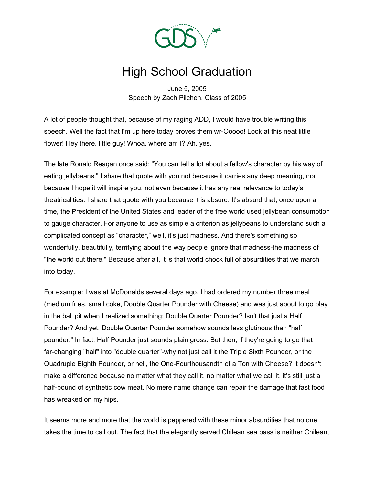

## High School Graduation

June 5, 2005 Speech by Zach Pilchen, Class of 2005

A lot of people thought that, because of my raging ADD, I would have trouble writing this speech. Well the fact that I'm up here today proves them wr-Ooooo! Look at this neat little flower! Hey there, little guy! Whoa, where am I? Ah, yes.

The late Ronald Reagan once said: "You can tell a lot about a fellow's character by his way of eating jellybeans." I share that quote with you not because it carries any deep meaning, nor because I hope it will inspire you, not even because it has any real relevance to today's theatricalities. I share that quote with you because it is absurd. It's absurd that, once upon a time, the President of the United States and leader of the free world used jellybean consumption to gauge character. For anyone to use as simple a criterion as jellybeans to understand such a complicated concept as "character," well, it's just madness. And there's something so wonderfully, beautifully, terrifying about the way people ignore that madness-the madness of "the world out there." Because after all, it is that world chock full of absurdities that we march into today.

For example: I was at McDonalds several days ago. I had ordered my number three meal (medium fries, small coke, Double Quarter Pounder with Cheese) and was just about to go play in the ball pit when I realized something: Double Quarter Pounder? Isn't that just a Half Pounder? And yet, Double Quarter Pounder somehow sounds less glutinous than "half pounder." In fact, Half Pounder just sounds plain gross. But then, if they're going to go that far-changing "half" into "double quarter"-why not just call it the Triple Sixth Pounder, or the Quadruple Eighth Pounder, or hell, the One-Fourthousandth of a Ton with Cheese? It doesn't make a difference because no matter what they call it, no matter what we call it, it's still just a half-pound of synthetic cow meat. No mere name change can repair the damage that fast food has wreaked on my hips.

It seems more and more that the world is peppered with these minor absurdities that no one takes the time to call out. The fact that the elegantly served Chilean sea bass is neither Chilean,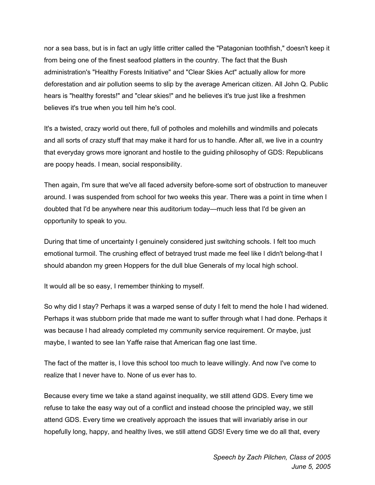nor a sea bass, but is in fact an ugly little critter called the "Patagonian toothfish," doesn't keep it from being one of the finest seafood platters in the country. The fact that the Bush administration's "Healthy Forests Initiative" and "Clear Skies Act" actually allow for more deforestation and air pollution seems to slip by the average American citizen. All John Q. Public hears is "healthy forests!" and "clear skies!" and he believes it's true just like a freshmen believes it's true when you tell him he's cool.

It's a twisted, crazy world out there, full of potholes and molehills and windmills and polecats and all sorts of crazy stuff that may make it hard for us to handle. After all, we live in a country that everyday grows more ignorant and hostile to the guiding philosophy of GDS: Republicans are poopy heads. I mean, social responsibility.

Then again, I'm sure that we've all faced adversity before-some sort of obstruction to maneuver around. I was suspended from school for two weeks this year. There was a point in time when I doubted that I'd be anywhere near this auditorium today—much less that I'd be given an opportunity to speak to you.

During that time of uncertainty I genuinely considered just switching schools. I felt too much emotional turmoil. The crushing effect of betrayed trust made me feel like I didn't belong-that I should abandon my green Hoppers for the dull blue Generals of my local high school.

It would all be so easy, I remember thinking to myself.

So why did I stay? Perhaps it was a warped sense of duty I felt to mend the hole I had widened. Perhaps it was stubborn pride that made me want to suffer through what I had done. Perhaps it was because I had already completed my community service requirement. Or maybe, just maybe, I wanted to see Ian Yaffe raise that American flag one last time.

The fact of the matter is, I love this school too much to leave willingly. And now I've come to realize that I never have to. None of us ever has to.

Because every time we take a stand against inequality, we still attend GDS. Every time we refuse to take the easy way out of a conflict and instead choose the principled way, we still attend GDS. Every time we creatively approach the issues that will invariably arise in our hopefully long, happy, and healthy lives, we still attend GDS! Every time we do all that, every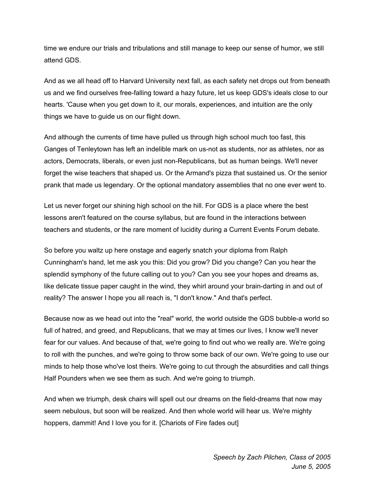time we endure our trials and tribulations and still manage to keep our sense of humor, we still attend GDS.

And as we all head off to Harvard University next fall, as each safety net drops out from beneath us and we find ourselves free-falling toward a hazy future, let us keep GDS's ideals close to our hearts. 'Cause when you get down to it, our morals, experiences, and intuition are the only things we have to guide us on our flight down.

And although the currents of time have pulled us through high school much too fast, this Ganges of Tenleytown has left an indelible mark on us-not as students, nor as athletes, nor as actors, Democrats, liberals, or even just non-Republicans, but as human beings. We'll never forget the wise teachers that shaped us. Or the Armand's pizza that sustained us. Or the senior prank that made us legendary. Or the optional mandatory assemblies that no one ever went to.

Let us never forget our shining high school on the hill. For GDS is a place where the best lessons aren't featured on the course syllabus, but are found in the interactions between teachers and students, or the rare moment of lucidity during a Current Events Forum debate.

So before you waltz up here onstage and eagerly snatch your diploma from Ralph Cunningham's hand, let me ask you this: Did you grow? Did you change? Can you hear the splendid symphony of the future calling out to you? Can you see your hopes and dreams as, like delicate tissue paper caught in the wind, they whirl around your brain-darting in and out of reality? The answer I hope you all reach is, "I don't know." And that's perfect.

Because now as we head out into the "real" world, the world outside the GDS bubble-a world so full of hatred, and greed, and Republicans, that we may at times our lives, I know we'll never fear for our values. And because of that, we're going to find out who we really are. We're going to roll with the punches, and we're going to throw some back of our own. We're going to use our minds to help those who've lost theirs. We're going to cut through the absurdities and call things Half Pounders when we see them as such. And we're going to triumph.

And when we triumph, desk chairs will spell out our dreams on the field-dreams that now may seem nebulous, but soon will be realized. And then whole world will hear us. We're mighty hoppers, dammit! And I love you for it. [Chariots of Fire fades out]